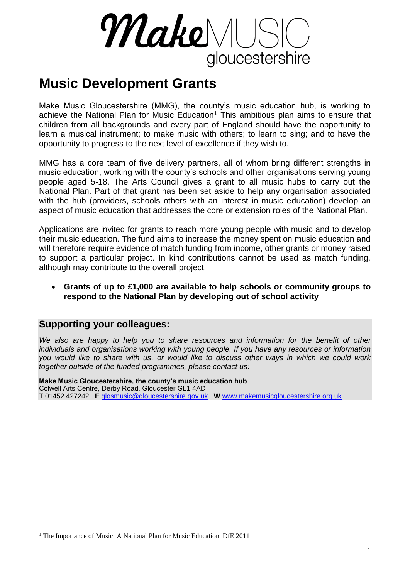MakeMUS gloucestershire

# **Music Development Grants**

Make Music Gloucestershire (MMG), the county's music education hub, is working to achieve the National Plan for Music Education<sup>1</sup> This ambitious plan aims to ensure that children from all backgrounds and every part of England should have the opportunity to learn a musical instrument; to make music with others; to learn to sing; and to have the opportunity to progress to the next level of excellence if they wish to.

MMG has a core team of five delivery partners, all of whom bring different strengths in music education, working with the county's schools and other organisations serving young people aged 5-18. The Arts Council gives a grant to all music hubs to carry out the National Plan. Part of that grant has been set aside to help any organisation associated with the hub (providers, schools others with an interest in music education) develop an aspect of music education that addresses the core or extension roles of the National Plan.

Applications are invited for grants to reach more young people with music and to develop their music education. The fund aims to increase the money spent on music education and will therefore require evidence of match funding from income, other grants or money raised to support a particular project. In kind contributions cannot be used as match funding, although may contribute to the overall project.

#### **Grants of up to £1,000 are available to help schools or community groups to respond to the National Plan by developing out of school activity**

#### **Supporting your colleagues:**

1

*We also are happy to help you to share resources and information for the benefit of other individuals and organisations working with young people. If you have any resources or information you would like to share with us, or would like to discuss other ways in which we could work together outside of the funded programmes, please contact us:*

**Make Music Gloucestershire, the county's music education hub** Colwell Arts Centre, Derby Road, Gloucester GL1 4AD **T** 01452 427242 **E** [glosmusic@gloucestershire.gov.uk](mailto:glosmusic@gloucestershire.gov.uk) **W** [www.makemusicgloucestershire.org.uk](http://www.gloucestershiremusic.co.uk/)

<sup>&</sup>lt;sup>1</sup> The Importance of Music: A National Plan for Music Education DfE 2011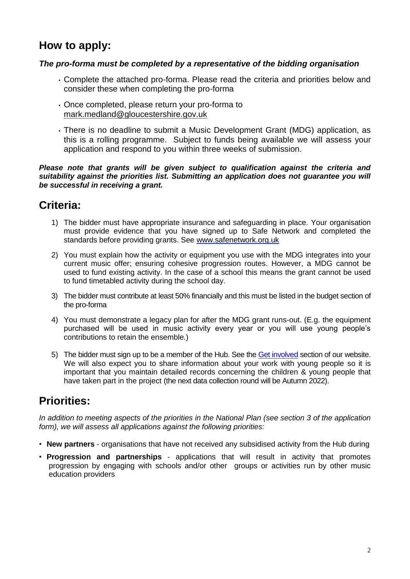## **How to apply:**

#### *The pro-forma must be completed by a representative of the bidding organisation*

- Complete the attached pro-forma. Please read the criteria and priorities below and consider these when completing the pro-forma
- Once completed, please return your pro-forma to [mark.medland@gloucestershire.gov.uk](mailto:mark.medland@gloucestershire.gov.uk)
- There is no deadline to submit a Music Development Grant (MDG) application, as this is a rolling programme. Subject to funds being available we will assess your application and respond to you within three weeks of submission.

#### *Please note that grants will be given subject to qualification against the criteria and suitability against the priorities list. Submitting an application does not guarantee you will be successful in receiving a grant.*

## **Criteria:**

- 1) The bidder must have appropriate insurance and safeguarding in place. Your organisation must provide evidence that you have signed up to Safe Network and completed the standards before providing grants. See [www.safenetwork.org.uk](https://client.ukfastexchange.co.uk/owa/redir.aspx?C=536670aeb0784c97b2ab0b3615baa460&URL=http%3a%2f%2fwww.safenetwork.org.uk)
- 2) You must explain how the activity or equipment you use with the MDG integrates into your current music offer; ensuring cohesive progression routes. However, a MDG cannot be used to fund existing activity. In the case of a school this means the grant cannot be used to fund timetabled activity during the school day.
- 3) The bidder must contribute at least 50% financially and this must be listed in the budget section of the pro-forma
- 4) You must demonstrate a legacy plan for after the MDG grant runs-out. (E.g. the equipment purchased will be used in music activity every year or you will use young people's contributions to retain the ensemble.)
- 5) The bidder must sign up to be a member of the Hub. See the [Get involved](http://www.makemusicgloucestershire.org.uk/Whats_the_Hub/Get_involved.aspx) section of our website. We will also expect you to share information about your work with young people so it is important that you maintain detailed records concerning the children & young people that have taken part in the project (the next data collection round will be Autumn 2022).

## **Priorities:**

*In addition to meeting aspects of the priorities in the National Plan (see section 3 of the application form), we will assess all applications against the following priorities:*

- **New partners** organisations that have not received any subsidised activity from the Hub during
- **Progression and partnerships** applications that will result in activity that promotes progression by engaging with schools and/or other groups or activities run by other music education providers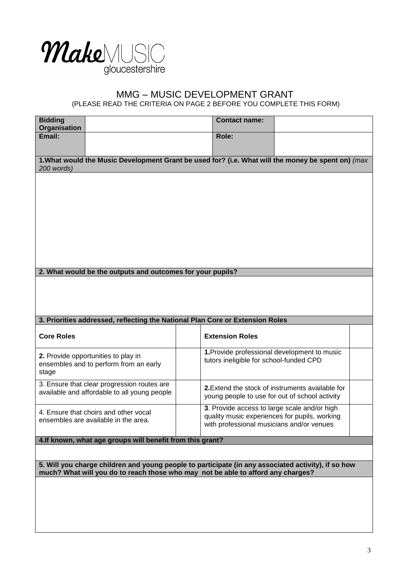

# MMG – MUSIC DEVELOPMENT GRANT

(PLEASE READ THE CRITERIA ON PAGE 2 BEFORE YOU COMPLETE THIS FORM)

| <b>Bidding</b><br>Organisation                                                                     |                                                                                                                                                                                         |  | <b>Contact name:</b>                    |                                                                                                                                            |  |  |  |
|----------------------------------------------------------------------------------------------------|-----------------------------------------------------------------------------------------------------------------------------------------------------------------------------------------|--|-----------------------------------------|--------------------------------------------------------------------------------------------------------------------------------------------|--|--|--|
| Email:                                                                                             |                                                                                                                                                                                         |  | Role:                                   |                                                                                                                                            |  |  |  |
| 1. What would the Music Development Grant be used for? (i.e. What will the money be spent on) (max |                                                                                                                                                                                         |  |                                         |                                                                                                                                            |  |  |  |
| 200 words)                                                                                         |                                                                                                                                                                                         |  |                                         |                                                                                                                                            |  |  |  |
|                                                                                                    |                                                                                                                                                                                         |  |                                         |                                                                                                                                            |  |  |  |
|                                                                                                    |                                                                                                                                                                                         |  |                                         |                                                                                                                                            |  |  |  |
|                                                                                                    |                                                                                                                                                                                         |  |                                         |                                                                                                                                            |  |  |  |
|                                                                                                    |                                                                                                                                                                                         |  |                                         |                                                                                                                                            |  |  |  |
|                                                                                                    |                                                                                                                                                                                         |  |                                         |                                                                                                                                            |  |  |  |
|                                                                                                    |                                                                                                                                                                                         |  |                                         |                                                                                                                                            |  |  |  |
|                                                                                                    | 2. What would be the outputs and outcomes for your pupils?                                                                                                                              |  |                                         |                                                                                                                                            |  |  |  |
|                                                                                                    |                                                                                                                                                                                         |  |                                         |                                                                                                                                            |  |  |  |
|                                                                                                    |                                                                                                                                                                                         |  |                                         |                                                                                                                                            |  |  |  |
|                                                                                                    | 3. Priorities addressed, reflecting the National Plan Core or Extension Roles                                                                                                           |  |                                         |                                                                                                                                            |  |  |  |
| <b>Core Roles</b>                                                                                  |                                                                                                                                                                                         |  |                                         |                                                                                                                                            |  |  |  |
|                                                                                                    |                                                                                                                                                                                         |  | <b>Extension Roles</b>                  |                                                                                                                                            |  |  |  |
| stage                                                                                              | 2. Provide opportunities to play in<br>ensembles and to perform from an early                                                                                                           |  | tutors ineligible for school-funded CPD | 1. Provide professional development to music                                                                                               |  |  |  |
|                                                                                                    | 3. Ensure that clear progression routes are<br>available and affordable to all young people                                                                                             |  |                                         | 2. Extend the stock of instruments available for<br>young people to use for out of school activity                                         |  |  |  |
|                                                                                                    | 4. Ensure that choirs and other vocal<br>ensembles are available in the area.                                                                                                           |  |                                         | 3. Provide access to large scale and/or high<br>quality music experiences for pupils, working<br>with professional musicians and/or venues |  |  |  |
|                                                                                                    | 4. If known, what age groups will benefit from this grant?                                                                                                                              |  |                                         |                                                                                                                                            |  |  |  |
|                                                                                                    |                                                                                                                                                                                         |  |                                         |                                                                                                                                            |  |  |  |
|                                                                                                    | 5. Will you charge children and young people to participate (in any associated activity), if so how<br>much? What will you do to reach those who may not be able to afford any charges? |  |                                         |                                                                                                                                            |  |  |  |
|                                                                                                    |                                                                                                                                                                                         |  |                                         |                                                                                                                                            |  |  |  |
|                                                                                                    |                                                                                                                                                                                         |  |                                         |                                                                                                                                            |  |  |  |
|                                                                                                    |                                                                                                                                                                                         |  |                                         |                                                                                                                                            |  |  |  |